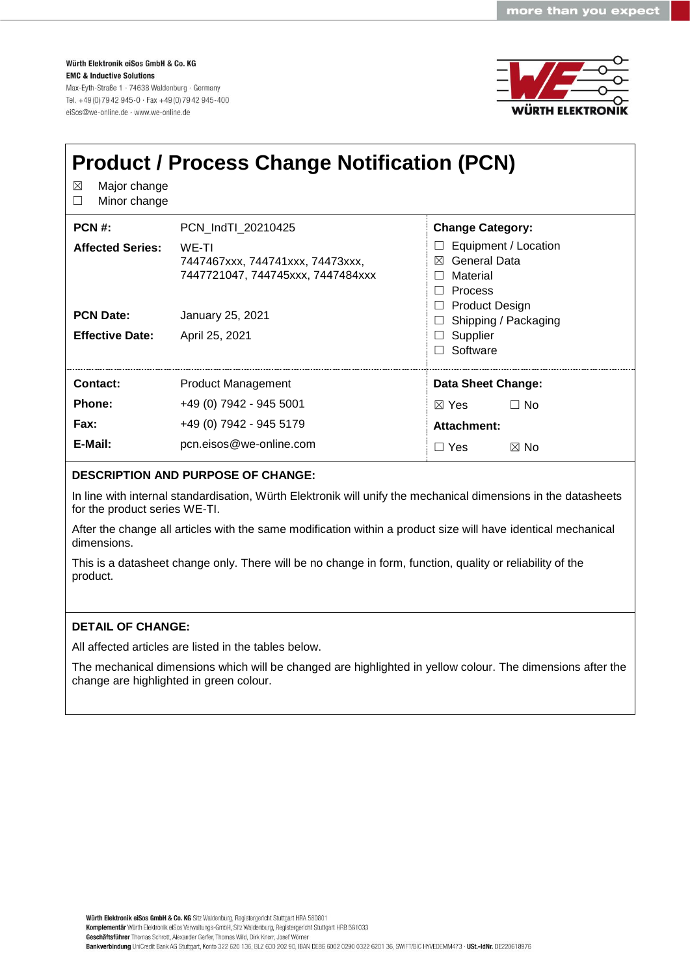Würth Elektronik eiSos GmbH & Co. KG **EMC & Inductive Solutions** Max-Eyth-Straße 1 · 74638 Waldenburg · Germany Tel. +49 (0) 79 42 945-0 · Fax +49 (0) 79 42 945-400 eiSos@we-online.de · www.we-online.de



| Major change<br>⊠<br>Minor change<br>$\perp$ | <b>Product / Process Change Notification (PCN)</b>                             |                                                                                                      |  |  |  |  |  |
|----------------------------------------------|--------------------------------------------------------------------------------|------------------------------------------------------------------------------------------------------|--|--|--|--|--|
| $PCN#$ :                                     | PCN Ind TI 20210425                                                            | <b>Change Category:</b>                                                                              |  |  |  |  |  |
| <b>Affected Series:</b>                      | WE-TI<br>7447467xxx, 744741xxx, 74473xxx,<br>7447721047, 744745xxx, 7447484xxx | Equipment / Location<br>General Data<br>⊠<br>Material<br>$\perp$<br>Process<br>$\perp$               |  |  |  |  |  |
| <b>PCN Date:</b>                             | January 25, 2021                                                               | <b>Product Design</b><br>Shipping / Packaging<br>$\Box$<br>Supplier<br>$\perp$<br>Software<br>$\Box$ |  |  |  |  |  |
| <b>Effective Date:</b>                       | April 25, 2021                                                                 |                                                                                                      |  |  |  |  |  |
| Contact:                                     | <b>Product Management</b>                                                      | Data Sheet Change:                                                                                   |  |  |  |  |  |
| Phone:                                       | +49 (0) 7942 - 945 5001                                                        | $\boxtimes$ Yes<br>$\Box$ No                                                                         |  |  |  |  |  |
| Fax:                                         | +49 (0) 7942 - 945 5179                                                        | Attachment:                                                                                          |  |  |  |  |  |
| E-Mail:                                      | pcn.eisos@we-online.com                                                        | $\boxtimes$ No<br>$\Box$ Yes                                                                         |  |  |  |  |  |

## **DESCRIPTION AND PURPOSE OF CHANGE:**

In line with internal standardisation, Würth Elektronik will unify the mechanical dimensions in the datasheets for the product series WE-TI.

After the change all articles with the same modification within a product size will have identical mechanical dimensions.

This is a datasheet change only. There will be no change in form, function, quality or reliability of the product.

## **DETAIL OF CHANGE:**

All affected articles are listed in the tables below.

The mechanical dimensions which will be changed are highlighted in yellow colour. The dimensions after the change are highlighted in green colour.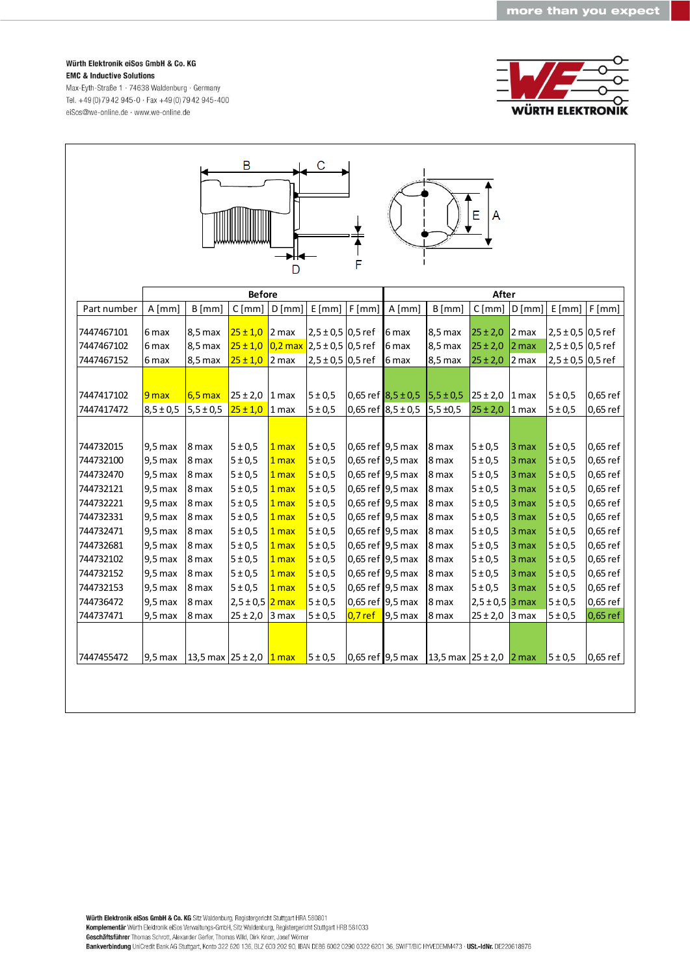Würth Elektronik eiSos GmbH & Co. KG **EMC & Inductive Solutions** 

Max-Eyth-Straße 1 · 74638 Waldenburg · Germany Tel. +49 (0) 79 42 945-0 · Fax +49 (0) 79 42 945-400 eiSos@we-online.de · www.we-online.de

| B<br>С<br>E<br>A<br>F<br>D |               |                                             |                    |                  |                             |                  |                                    |                             |                     |                  |                       |            |  |
|----------------------------|---------------|---------------------------------------------|--------------------|------------------|-----------------------------|------------------|------------------------------------|-----------------------------|---------------------|------------------|-----------------------|------------|--|
|                            | <b>Before</b> |                                             |                    |                  |                             |                  | After                              |                             |                     |                  |                       |            |  |
| Part number                | $A$ [mm]      | $B$ [mm]                                    | C[mm]              | $D$ [mm]         | E[mm]                       | F[mm]            | $A$ [mm]                           | $B$ [mm]                    | C[mm]               | D[mm]            | E[mm]                 | F[mm]      |  |
| 7447467101                 | 6 max         | 8,5 max                                     | $25 \pm 1,0$       | 2 <sub>max</sub> | $2,5 \pm 0.5$ 0.5 ref       |                  | 6 max                              | 8,5 max                     | $25 \pm 2,0$        | $2$ max          | $2,5 \pm 0,5$ 0,5 ref |            |  |
| 7447467102                 |               |                                             |                    |                  | $0,2$ max 2,5 ± 0,5 0,5 ref |                  |                                    |                             |                     |                  | $2,5 \pm 0,5$ 0,5 ref |            |  |
| 7447467152                 | 6 max         | 8,5 max                                     | $25 \pm 1,0$       |                  |                             |                  | 6 max                              | 8,5 max                     | $25 \pm 2,0$        | 2 <sub>max</sub> |                       |            |  |
|                            | 6 max         | 8,5 max                                     | $25 \pm 1,0$       | 2 max            | $2,5 \pm 0,5$ 0,5 ref       |                  | 6 max                              | 8,5 max                     | $25 \pm 2,0$        | 2 max            | $2,5 \pm 0,5$ 0,5 ref |            |  |
|                            |               |                                             |                    |                  |                             |                  |                                    |                             |                     |                  |                       |            |  |
| 7447417102                 | 9 max         | $6,5$ max                                   | $25 \pm 2.0$ 1 max |                  | 5 ± 0.5                     |                  | $0,65$ ref $8,5 \pm 0.5$ 5.5 ± 0.5 |                             | $25 \pm 2,0$ 1 max  |                  | 5 ± 0.5               | 0,65 ref   |  |
| 7447417472                 | $8,5 \pm 0,5$ | $5,5 \pm 0,5$                               | $25 \pm 1,0$       | 1 <sub>max</sub> | 5 ± 0,5                     |                  | 0,65 ref $8,5 \pm 0.5$             | $5,5 \pm 0,5$               | $25 \pm 2.0$ 1 max  |                  | 5 ± 0,5               | 0,65 ref   |  |
|                            |               |                                             |                    |                  |                             |                  |                                    |                             |                     |                  |                       |            |  |
| 744732015                  | $9,5$ max     | 8 max                                       | 5 ± 0.5            | 1 max            | 5 ± 0.5                     |                  | 0,65 ref 9,5 max                   | 8 max                       | 5 ± 0.5             | 3 max            | 5 ± 0.5               | 0,65 ref   |  |
| 744732100                  | $9,5$ max     | 8 max                                       | 5 ± 0.5            | 1 max            | 5 ± 0,5                     |                  | 0,65 ref 9,5 max                   | 8 max                       | 5 ± 0.5             | 3 max            | 5 ± 0,5               | 0,65 ref   |  |
| 744732470                  | $9,5$ max     | 8 max                                       | 5 ± 0.5            | 1 <sub>max</sub> | 5 ± 0.5                     |                  | 0,65 ref 9,5 max                   | 8 max                       | 5 ± 0.5             | 3 max            | 5 ± 0,5               | 0,65 ref   |  |
| 744732121                  | $9,5$ max     | 8 max                                       | 5 ± 0,5            | 1 <sub>max</sub> | 5 ± 0.5                     |                  | 0,65 ref 9,5 max                   | 8 max                       | 5 ± 0.5             | 3 max            | 5 ± 0.5               | 0,65 ref   |  |
| 744732221                  | $9,5$ max     | 8 max                                       | 5 ± 0,5            | 1 max            | 5 ± 0,5                     |                  | 0,65 ref 9,5 max                   | 8 max                       | 5 ± 0.5             | 3 max            | 5 ± 0,5               | 0,65 ref   |  |
| 744732331                  | $9,5$ max     | 8 max                                       | 5 ± 0.5            | 1 max            | 5 ± 0.5                     |                  | 0,65 ref 9,5 max                   | 8 max                       | 5 ± 0.5             | 3 max            | 5 ± 0,5               | 0,65 ref   |  |
| 744732471                  | $9,5$ max     | 8 max                                       | 5 ± 0,5            | 1 <sub>max</sub> | 5 ± 0.5                     |                  | 0,65 ref 9,5 max                   | 8 max                       | 5 ± 0.5             | 3 max            | 5 ± 0.5               | 0,65 ref   |  |
| 744732681                  | $9,5$ max     | 8 max                                       | 5 ± 0.5            | 1 max            | 5 ± 0,5                     |                  | 0,65 ref 9,5 max                   | 8 max                       | 5 ± 0.5             | 3 <sub>max</sub> | 5 ± 0.5               | 0,65 ref   |  |
| 744732102                  | $9,5$ max     | 8 max                                       | 5 ± 0.5            | 1 max            | 5 ± 0.5                     |                  | 0,65 ref 9,5 max                   | 8 max                       | 5 ± 0.5             | 3 <sub>max</sub> | 5 ± 0,5               | 0,65 ref   |  |
| 744732152                  | $9,5$ max     | 8 max                                       | 5 ± 0.5            | 1 <sub>max</sub> | 5 ± 0.5                     |                  | 0,65 ref 9,5 max                   | 8 max                       | 5 ± 0.5             | 3 <sub>max</sub> | 5 ± 0.5               | 0,65 ref   |  |
| 744732153                  | $9,5$ max     | 8 max                                       | 5 ± 0,5            | 1 max            | 5 ± 0.5                     |                  | 0,65 ref 9,5 max                   | 8 max                       | 5 ± 0.5             | 3 max            | 5 ± 0.5               | 0,65 ref   |  |
| 744736472                  | $9,5$ max     | 8 max                                       | $2,5 \pm 0,5$      | 2 <sub>max</sub> | 5 ± 0,5                     | 0,65 ref 9,5 max |                                    | 8 max                       | $2,5 \pm 0,5$ 3 max |                  | 5 ± 0,5               | 0,65 ref   |  |
| 744737471                  | $9,5$ max     | 8 max                                       | $25 \pm 2,0$       | 3 max            | 5 ± 0.5                     | $0.7$ ref        | $9,5$ max                          | 8 max                       | $25 \pm 2,0$        | 3 max            | 5 ± 0.5               | $0,65$ ref |  |
|                            |               |                                             |                    |                  |                             |                  |                                    |                             |                     |                  |                       |            |  |
| 7447455472                 | 9,5 max       | 13,5 max 25 ± 2,0 $\frac{1 \text{ max}}{1}$ |                    |                  | $5 \pm 0.5$                 |                  | 0,65 ref 9,5 max                   | 13,5 max $25 \pm 2.0$ 2 max |                     |                  | 5 ± 0.5               | 0,65 ref   |  |
|                            |               |                                             |                    |                  |                             |                  |                                    |                             |                     |                  |                       |            |  |